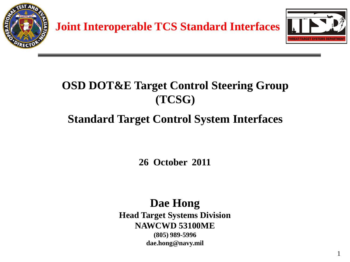

#### **OSD DOT&E Target Control Steering Group (TCSG)**

#### **Standard Target Control System Interfaces**

**26 October 2011**

#### **Dae Hong Head Target Systems Division NAWCWD 53100ME (805) 989-5996 dae.hong@navy.mil**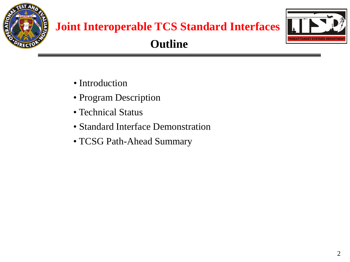

# **Joint Interoperable TCS Standard Interfaces**



#### **Outline**

- Introduction
- Program Description
- Technical Status
- Standard Interface Demonstration
- TCSG Path-Ahead Summary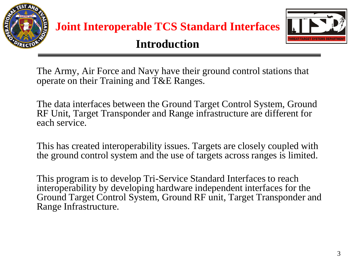



#### **Introduction**

The Army, Air Force and Navy have their ground control stations that operate on their Training and T&E Ranges.

The data interfaces between the Ground Target Control System, Ground RF Unit, Target Transponder and Range infrastructure are different for each service.

This has created interoperability issues. Targets are closely coupled with the ground control system and the use of targets across ranges is limited.

This program is to develop Tri-Service Standard Interfaces to reach interoperability by developing hardware independent interfaces for the Ground Target Control System, Ground RF unit, Target Transponder and Range Infrastructure.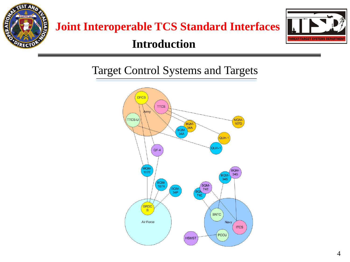

#### **Introduction**



#### Target Control Systems and Targets

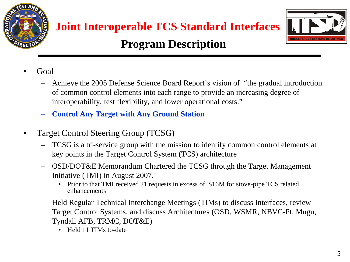



- Goal
	- Achieve the 2005 Defense Science Board Report's vision of "the gradual introduction of common control elements into each range to provide an increasing degree of interoperability, test flexibility, and lower operational costs."
	- **Control Any Target with Any Ground Station**
- Target Control Steering Group (TCSG)
	- TCSG is a tri-service group with the mission to identify common control elements at key points in the Target Control System (TCS) architecture
	- OSD/DOT&E Memorandum Chartered the TCSG through the Target Management Initiative (TMI) in August 2007.
		- Prior to that TMI received 21 requests in excess of \$16M for stove-pipe TCS related enhancements
	- Held Regular Technical Interchange Meetings (TIMs) to discuss Interfaces, review Target Control Systems, and discuss Architectures (OSD, WSMR, NBVC-Pt. Mugu, Tyndall AFB, TRMC, DOT&E)
		- Held 11 TIMs to-date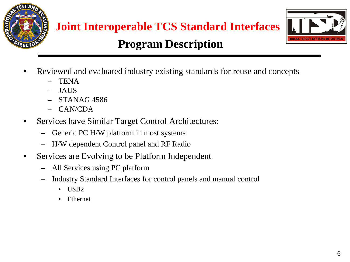



- Reviewed and evaluated industry existing standards for reuse and concepts
	- TENA
	- JAUS
	- STANAG 4586
	- CAN/CDA
- Services have Similar Target Control Architectures:
	- Generic PC H/W platform in most systems
	- H/W dependent Control panel and RF Radio
- Services are Evolving to be Platform Independent
	- All Services using PC platform
	- Industry Standard Interfaces for control panels and manual control
		- USB2
		- Ethernet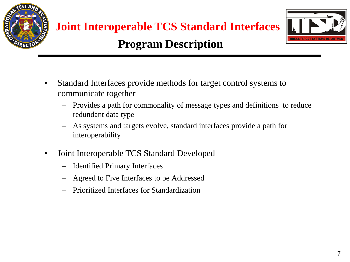



- Standard Interfaces provide methods for target control systems to communicate together
	- Provides a path for commonality of message types and definitions to reduce redundant data type
	- As systems and targets evolve, standard interfaces provide a path for interoperability
- Joint Interoperable TCS Standard Developed
	- Identified Primary Interfaces
	- Agreed to Five Interfaces to be Addressed
	- Prioritized Interfaces for Standardization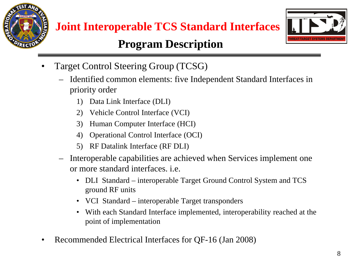



- Target Control Steering Group (TCSG)
	- Identified common elements: five Independent Standard Interfaces in priority order
		- 1) Data Link Interface (DLI)
		- 2) Vehicle Control Interface (VCI)
		- 3) Human Computer Interface (HCI)
		- 4) Operational Control Interface (OCI)
		- 5) RF Datalink Interface (RF DLI)
	- Interoperable capabilities are achieved when Services implement one or more standard interfaces. i.e.
		- DLI Standard interoperable Target Ground Control System and TCS ground RF units
		- VCI Standard interoperable Target transponders
		- With each Standard Interface implemented, interoperability reached at the point of implementation
- Recommended Electrical Interfaces for QF-16 (Jan 2008)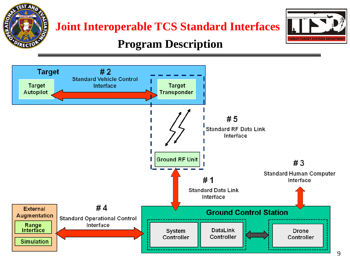



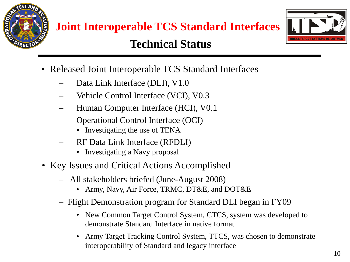

#### **Technical Status**



- Released Joint Interoperable TCS Standard Interfaces
	- Data Link Interface (DLI), V1.0
	- Vehicle Control Interface (VCI), V0.3
	- Human Computer Interface (HCI), V0.1
	- Operational Control Interface (OCI)
		- Investigating the use of TENA
	- RF Data Link Interface (RFDLI)
		- Investigating a Navy proposal
- Key Issues and Critical Actions Accomplished
	- All stakeholders briefed (June-August 2008)
		- Army, Navy, Air Force, TRMC, DT&E, and DOT&E
	- Flight Demonstration program for Standard DLI began in FY09
		- New Common Target Control System, CTCS, system was developed to demonstrate Standard Interface in native format
		- Army Target Tracking Control System, TTCS, was chosen to demonstrate interoperability of Standard and legacy interface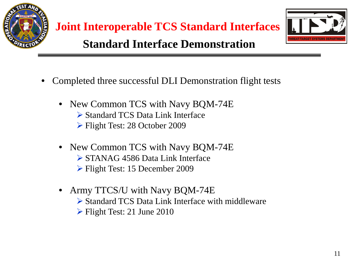



- Completed three successful DLI Demonstration flight tests
	- New Common TCS with Navy BQM-74E Standard TCS Data Link Interface Flight Test: 28 October 2009
	- New Common TCS with Navy BQM-74E STANAG 4586 Data Link Interface Flight Test: 15 December 2009
	- Army TTCS/U with Navy BQM-74E Standard TCS Data Link Interface with middleware  $\triangleright$  Flight Test: 21 June 2010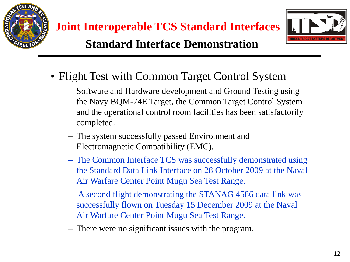



- Flight Test with Common Target Control System
	- Software and Hardware development and Ground Testing using the Navy BQM-74E Target, the Common Target Control System and the operational control room facilities has been satisfactorily completed.
	- The system successfully passed Environment and Electromagnetic Compatibility (EMC).
	- The Common Interface TCS was successfully demonstrated using the Standard Data Link Interface on 28 October 2009 at the Naval Air Warfare Center Point Mugu Sea Test Range.
	- A second flight demonstrating the STANAG 4586 data link was successfully flown on Tuesday 15 December 2009 at the Naval Air Warfare Center Point Mugu Sea Test Range.
	- There were no significant issues with the program.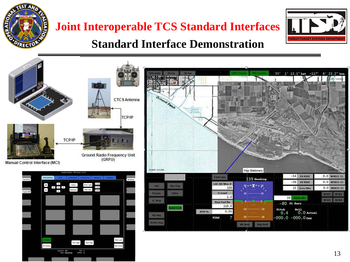

## **Joint Interoperable TCS Standard Interfaces**



#### **Standard Interface Demonstration**

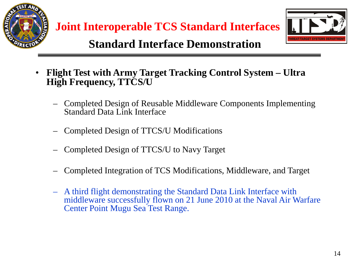



#### **Standard Interface Demonstration**

- **Flight Test with Army Target Tracking Control System – Ultra High Frequency, TTCS/U**
	- Completed Design of Reusable Middleware Components Implementing Standard Data Link Interface
	- Completed Design of TTCS/U Modifications
	- Completed Design of TTCS/U to Navy Target
	- Completed Integration of TCS Modifications, Middleware, and Target
	- A third flight demonstrating the Standard Data Link Interface with middleware successfully flown on 21 June 2010 at the Naval Air Warfare Center Point Mugu Sea Test Range.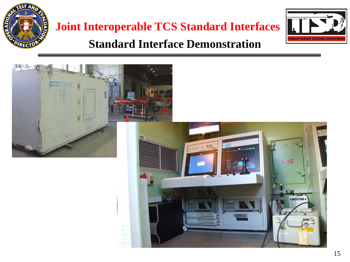

## **Joint Interoperable TCS Standard Interfaces Standard Interface Demonstration**



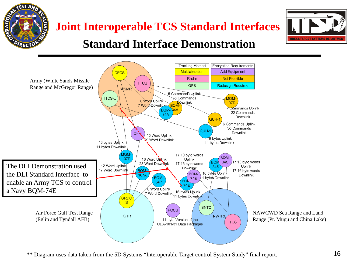





\*\* Diagram uses data taken from the 5D Systems "Interoperable Target control System Study" final report.